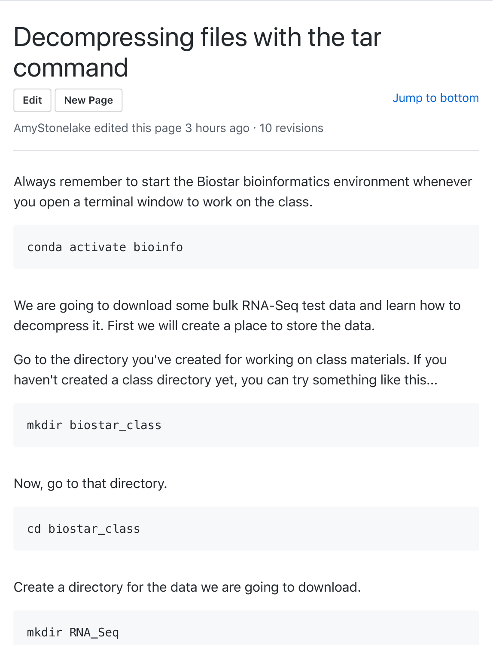## Decompressing files with the tar [com](https://github.com/AmyStonelake/BTEP/wiki/Decompressing-files-with-the-tar-command/_edit)[mand](https://github.com/AmyStonelake/BTEP/wiki/_new)

**Edit New Page**

Jump to bottom

AmyStonelake edited this page 3 hours ago · 10 revisions

Always remember to start the Biostar bioinformatics environment whenever you open a terminal window to work on the class.

conda activate bioinfo

We are going to download some bulk RNA-Seq test data and learn how to decompress it. First we will create a place to store the data.

Go to the directory you've created for working on class materials. If you haven't created a class directory yet, you can try something like this...

mkdir biostar\_class

Now, go to that directory.

cd biostar\_class

Create a directory for the data we are going to download.

mkdir RNA\_Seq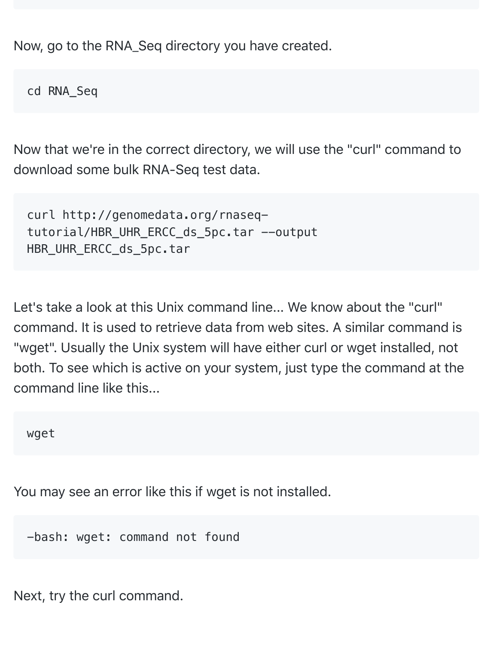Now, go to the RNA\_Seq directory you have created.

cd RNA\_Seq

Now that we're in the correct directory, we will use the "curl" command to download some bulk RNA-Seq test data.

```
curl http://genomedata.org/rnaseq-
tutorial/HBR UHR ERCC ds 5pc.tar --output
HBR_UHR_ERCC_ds_5pc.tar
```
Let's take a look at this Unix command line... We know about the "curl" command. It is used to retrieve data from web sites. A similar command is "wget". Usually the Unix system will have either curl or wget installed, not both. To see which is active on your system, just type the command at the command line like this...

wget

You may see an error like this if wget is not installed.

-bash: wget: command not found

Next, try the curl command.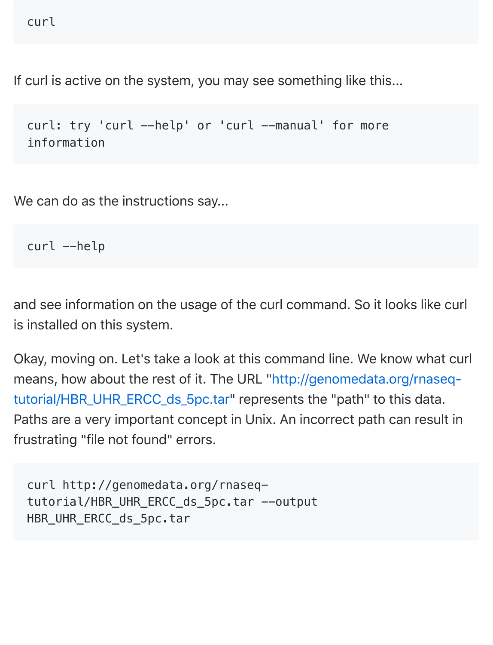```
curl
```
If curl is active on the system, you may see something like this...

```
curl: try 'curl --help' or 'curl --manual' for more
information
```
We can do as the instructions say...

curl --help

and see information on the usage of the curl command. So it looks like curl is installed on this system.

[Okay, moving on. Let's take a look at this command line. We know what cu](http://genomedata.org/rnaseq-tutorial/HBR_UHR_ERCC_ds_5pc.tar)rl means, how about the rest of it. The URL "http://genomedata.org/rnaseqtutorial/HBR\_UHR\_ERCC\_ds\_5pc.tar" represents the "path" to this data. Paths are a very important concept in Unix. An incorrect path can result in frustrating "file not found" errors.

curl http://genomedata.org/rnaseqtutorial/HBR\_UHR\_ERCC\_ds\_5pc.tar --output HBR\_UHR\_ERCC\_ds\_5pc.tar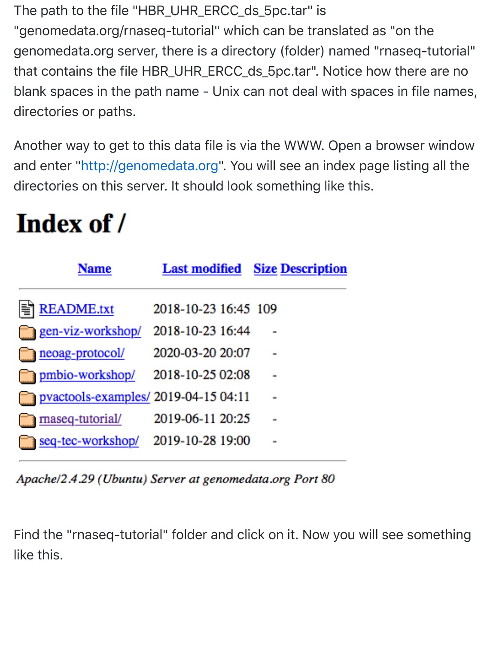The path to the file "HBR\_UHR\_ERCC\_ds\_5pc.tar" is "genomedata.org/rnaseq-tutorial" which can be translated as "on the genomedata.org server, there is a directory (folder) named "rnaseq-tutorial" that contains the file HBR\_UHR\_ERCC\_ds\_5pc.tar". Notice how there are no blank spaces in the path name - Unix can not deal with spaces in file names, directories or paths.

Another w[ay to get to this data file](http://genomedata.org/) is via the WWW. Open a browser window and enter "http://genomedata.org". You will see an index page listing all the directories on this server. It should look something like this.

## Index of /

|                   | Name              |                                     | <b>Last modified</b> Size Description |
|-------------------|-------------------|-------------------------------------|---------------------------------------|
| <b>README.txt</b> |                   | 2018-10-23 16:45 109                |                                       |
| gen-viz-workshop/ |                   | 2018-10-23 16:44                    |                                       |
| neoag-protocol/   |                   | 2020-03-20 20:07                    |                                       |
| pmbio-workshop/   |                   | 2018-10-25 02:08                    |                                       |
|                   |                   | pvactools-examples/2019-04-15 04:11 |                                       |
| maseq-tutorial/   |                   | 2019-06-11 20:25                    |                                       |
|                   | seq-tec-workshop/ | 2019-10-28 19:00                    |                                       |

Apache/2.4.29 (Ubuntu) Server at genomedata.org Port 80

Find the "rnaseq-tutorial" folder and click on it. Now you will see something like this.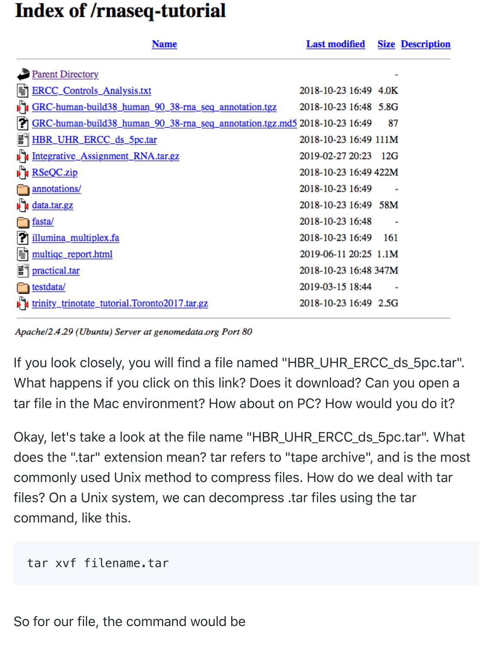## **Index of /rnaseq-tutorial**

|   | <b>Name</b>                                                               | <b>Last modified</b>  |    | <b>Size Description</b> |
|---|---------------------------------------------------------------------------|-----------------------|----|-------------------------|
|   | <b>Parent Directory</b>                                                   |                       |    |                         |
| Ħ | ERCC_Controls_Analysis.txt                                                | 2018-10-23 16:49 4.0K |    |                         |
|   | GRC-human-build38_human_90_38-rna_seq_annotation.tgz                      | 2018-10-23 16:48 5.8G |    |                         |
| 7 | GRC-human-build38_human_90_38-rna_seq_annotation.tgz.md5 2018-10-23 16:49 |                       | 87 |                         |
| 쁿 | HBR_UHR_ERCC_ds_5pc.tar                                                   | 2018-10-23 16:49 111M |    |                         |
|   | Integrative_Assignment_RNA.tar.gz                                         | 2019-02-27 20:23 12G  |    |                         |
|   | RSeQC.zip                                                                 | 2018-10-23 16:49 422M |    |                         |
|   | annotations/                                                              | 2018-10-23 16:49      |    |                         |
|   | data.tar.gz                                                               | 2018-10-23 16:49 58M  |    |                         |
|   | fasta/                                                                    | 2018-10-23 16:48      |    |                         |
| P | illumina_multiplex.fa                                                     | 2018-10-23 16:49 161  |    |                         |
| H | multiqc_report.html                                                       | 2019-06-11 20:25 1.1M |    |                         |
| 헯 | practical.tar                                                             | 2018-10-23 16:48 347M |    |                         |
|   | testdata/                                                                 | 2019-03-15 18:44      |    |                         |
|   | trinity_trinotate_tutorial.Toronto2017.tar.gz                             | 2018-10-23 16:49 2.5G |    |                         |

Apache/2.4.29 (Ubuntu) Server at genomedata.org Port 80

If you look closely, you will find a file named "HBR\_UHR\_ERCC\_ds\_5pc.tar". What happens if you click on this link? Does it download? Can you open a tar file in the Mac environment? How about on PC? How would you do it?

Okay, let's take a look at the file name "HBR\_UHR\_ERCC\_ds\_5pc.tar". What does the ".tar" extension mean? tar refers to "tape archive", and is the most commonly used Unix method to compress files. How do we deal with tar files? On a Unix system, we can decompress .tar files using the tar command, like this.

```
tar xvf filename.tar
```
So for our file, the command would be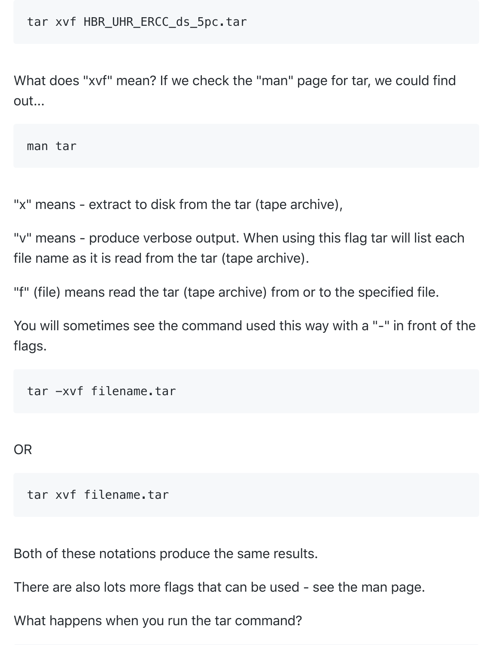tar xvf HBR\_UHR\_ERCC\_ds\_5pc.tar

What does "xvf" mean? If we check the "man" page for tar, we could find out...

man tar

"x" means - extract to disk from the tar (tape archive),

"v" means - produce verbose output. When using this flag tar will list each file name as it is read from the tar (tape archive).

"f" (file) means read the tar (tape archive) from or to the specified file.

You will sometimes see the command used this way with a "-" in front of the flags.

tar -xvf filename.tar

OR

tar xvf filename.tar

Both of these notations produce the same results.

There are also lots more flags that can be used - see the man page.

What happens when you run the tar command?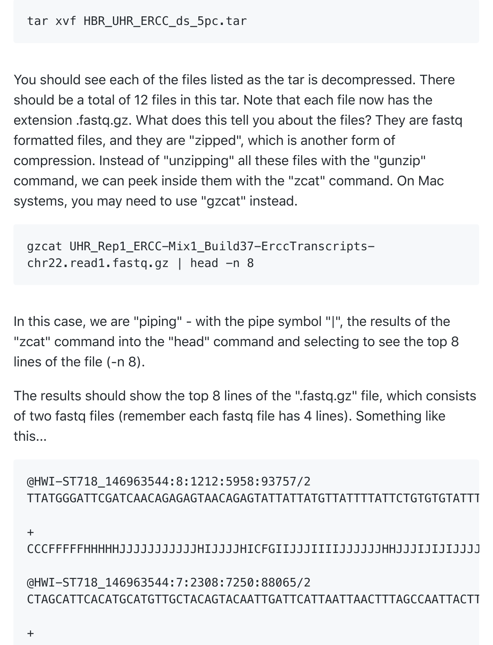tar xvf HBR\_UHR\_ERCC\_ds\_5pc.tar

You should see each of the files listed as the tar is decompressed. There should be a total of 12 files in this tar. Note that each file now has the extension .fastq.gz. What does this tell you about the files? They are fastq formatted files, and they are "zipped", which is another form of compression. Instead of "unzipping" all these files with the "gunzip" command, we can peek inside them with the "zcat" command. On Mac systems, you may need to use "gzcat" instead.

```
gzcat UHR_Rep1_ERCC-Mix1_Build37-ErccTranscripts-
chr22.read1.fastq.gz \mid head -n 8
```
In this case, we are "piping" - with the pipe symbol "|", the results of the "zcat" command into the "head" command and selecting to see the top 8 lines of the file (-n 8).

The results should show the top 8 lines of the ".fastq.gz" file, which consists of two fastq files (remember each fastq file has 4 lines). Something like this...

```
@HWI-ST718_146963544:8:1212:5958:93757/2
TTATGGGATTCGATCAACAGAGAGTAACAGAGTATTATTATGTTATTTTATTCTGTGTGTATTT
```
+

CCCFFFFFHHHHHJJJJJJJJJJJHIJJJJHICFGIIJJJIIIIJJJJJJHHJJJIJIJIJJJJJJJJJJJJJIJIJJJJJIJHHHHHHFFFFDDCDDDD

@HWI-ST718\_146963544:7:2308:7250:88065/2 CTAGCATTCACATGCATGTTGCTACAGTACAATTGATTCATTAATTAACTTTAGCCAATTACTTAGTAAACTCAGGTCAACAAGAAAGGAGGCAATGCTT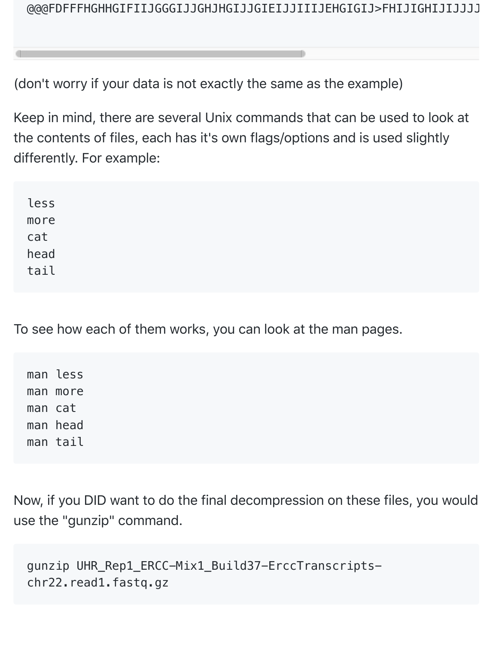(don't worry if your data is not exactly the same as the example)

Keep in mind, there are several Unix commands that can be used to look at the contents of files, each has it's own flags/options and is used slightly differently. For example:

less more cat head tail

To see how each of them works, you can look at the man pages.

man less man more man cat man head man tail

Now, if you DID want to do the final decompression on these files, you would use the "gunzip" command.

```
gunzip UHR_Rep1_ERCC-Mix1_Build37-ErccTranscripts-
chr22.read1.fastq.gz
```